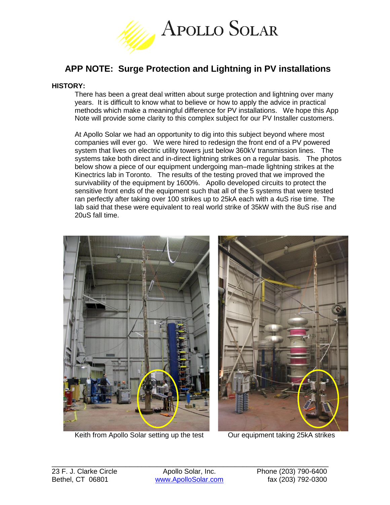

# **APP NOTE: Surge Protection and Lightning in PV installations**

#### **HISTORY:**

There has been a great deal written about surge protection and lightning over many years. It is difficult to know what to believe or how to apply the advice in practical methods which make a meaningful difference for PV installations. We hope this App Note will provide some clarity to this complex subject for our PV Installer customers.

At Apollo Solar we had an opportunity to dig into this subject beyond where most companies will ever go. We were hired to redesign the front end of a PV powered system that lives on electric utility towers just below 360kV transmission lines. The systems take both direct and in-direct lightning strikes on a regular basis. The photos below show a piece of our equipment undergoing man–made lightning strikes at the Kinectrics lab in Toronto. The results of the testing proved that we improved the survivability of the equipment by 1600%. Apollo developed circuits to protect the sensitive front ends of the equipment such that all of the 5 systems that were tested ran perfectly after taking over 100 strikes up to 25kA each with a 4uS rise time. The lab said that these were equivalent to real world strike of 35kW with the 8uS rise and 20uS fall time.



Keith from Apollo Solar setting up the test **Our equipment taking 25kA strikes** 

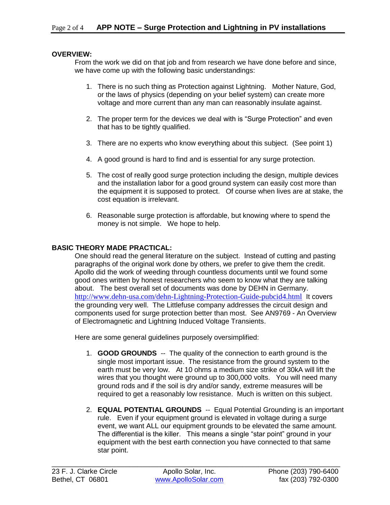#### **OVERVIEW:**

From the work we did on that job and from research we have done before and since, we have come up with the following basic understandings:

- 1. There is no such thing as Protection against Lightning. Mother Nature, God, or the laws of physics (depending on your belief system) can create more voltage and more current than any man can reasonably insulate against.
- 2. The proper term for the devices we deal with is "Surge Protection" and even that has to be tightly qualified.
- 3. There are no experts who know everything about this subject. (See point 1)
- 4. A good ground is hard to find and is essential for any surge protection.
- 5. The cost of really good surge protection including the design, multiple devices and the installation labor for a good ground system can easily cost more than the equipment it is supposed to protect. Of course when lives are at stake, the cost equation is irrelevant.
- 6. Reasonable surge protection is affordable, but knowing where to spend the money is not simple. We hope to help.

### **BASIC THEORY MADE PRACTICAL:**

One should read the general literature on the subject. Instead of cutting and pasting paragraphs of the original work done by others, we prefer to give them the credit. Apollo did the work of weeding through countless documents until we found some good ones written by honest researchers who seem to know what they are talking about. The best overall set of documents was done by DEHN in Germany. <http://www.dehn-usa.com/dehn-Lightning-Protection-Guide-pubcid4.html> It covers the grounding very well. The Littlefuse company addresses the circuit design and components used for surge protection better than most. See AN9769 - An Overview of Electromagnetic and Lightning Induced Voltage Transients.

Here are some general guidelines purposely oversimplified:

- 1. **GOOD GROUNDS** -- The quality of the connection to earth ground is the single most important issue. The resistance from the ground system to the earth must be very low. At 10 ohms a medium size strike of 30kA will lift the wires that you thought were ground up to 300,000 volts. You will need many ground rods and if the soil is dry and/or sandy, extreme measures will be required to get a reasonably low resistance. Much is written on this subject.
- 2. **EQUAL POTENTIAL GROUNDS** -- Equal Potential Grounding is an important rule. Even if your equipment ground is elevated in voltage during a surge event, we want ALL our equipment grounds to be elevated the same amount. The differential is the killer. This means a single "star point" ground in your equipment with the best earth connection you have connected to that same star point.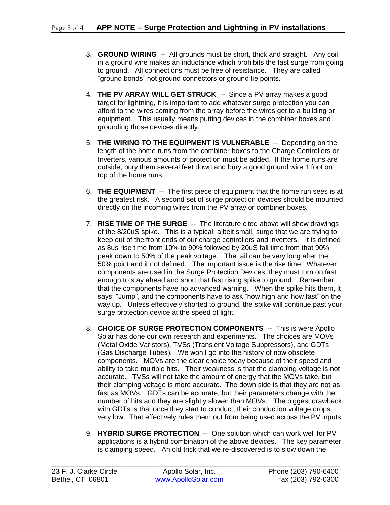- 3. **GROUND WIRING** -- All grounds must be short, thick and straight. Any coil in a ground wire makes an inductance which prohibits the fast surge from going to ground. All connections must be free of resistance. They are called "ground bonds" not ground connectors or ground tie points.
- 4. **THE PV ARRAY WILL GET STRUCK** -- Since a PV array makes a good target for lightning, it is important to add whatever surge protection you can afford to the wires coming from the array before the wires get to a building or equipment. This usually means putting devices in the combiner boxes and grounding those devices directly.
- 5. **THE WIRING TO THE EQUIPMENT IS VULNERABLE** -- Depending on the length of the home runs from the combiner boxes to the Charge Controllers or Inverters, various amounts of protection must be added. If the home runs are outside, bury them several feet down and bury a good ground wire 1 foot on top of the home runs.
- 6. **THE EQUIPMENT** -- The first piece of equipment that the home run sees is at the greatest risk. A second set of surge protection devices should be mounted directly on the incoming wires from the PV array or combiner boxes.
- 7. **RISE TIME OF THE SURGE** -- The literature cited above will show drawings of the 8/20uS spike. This is a typical, albeit small, surge that we are trying to keep out of the front ends of our charge controllers and inverters. It is defined as 8us rise time from 10% to 90% followed by 20uS fall time from that 90% peak down to 50% of the peak voltage. The tail can be very long after the 50% point and it not defined. The important issue is the rise time. Whatever components are used in the Surge Protection Devices, they must turn on fast enough to stay ahead and short that fast rising spike to ground. Remember that the components have no advanced warning. When the spike hits them, it says: "Jump", and the components have to ask "how high and how fast" on the way up. Unless effectively shorted to ground, the spike will continue past your surge protection device at the speed of light.
- 8. **CHOICE OF SURGE PROTECTION COMPONENTS** -- This is were Apollo Solar has done our own research and experiments. The choices are MOVs (Metal Oxide Varistors), TVSs (Transient Voltage Suppressors), and GDTs (Gas Discharge Tubes). We won't go into the history of now obsolete components. MOVs are the clear choice today because of their speed and ability to take multiple hits. Their weakness is that the clamping voltage is not accurate. TVSs will not take the amount of energy that the MOVs take, but their clamping voltage is more accurate. The down side is that they are not as fast as MOVs. GDTs can be accurate, but their parameters change with the number of hits and they are slightly slower than MOVs. The biggest drawback with GDTs is that once they start to conduct, their conduction voltage drops very low. That effectively rules them out from being used across the PV inputs.
- 9. **HYBRID SURGE PROTECTION** -- One solution which can work well for PV applications is a hybrid combination of the above devices. The key parameter is clamping speed. An old trick that we re-discovered is to slow down the